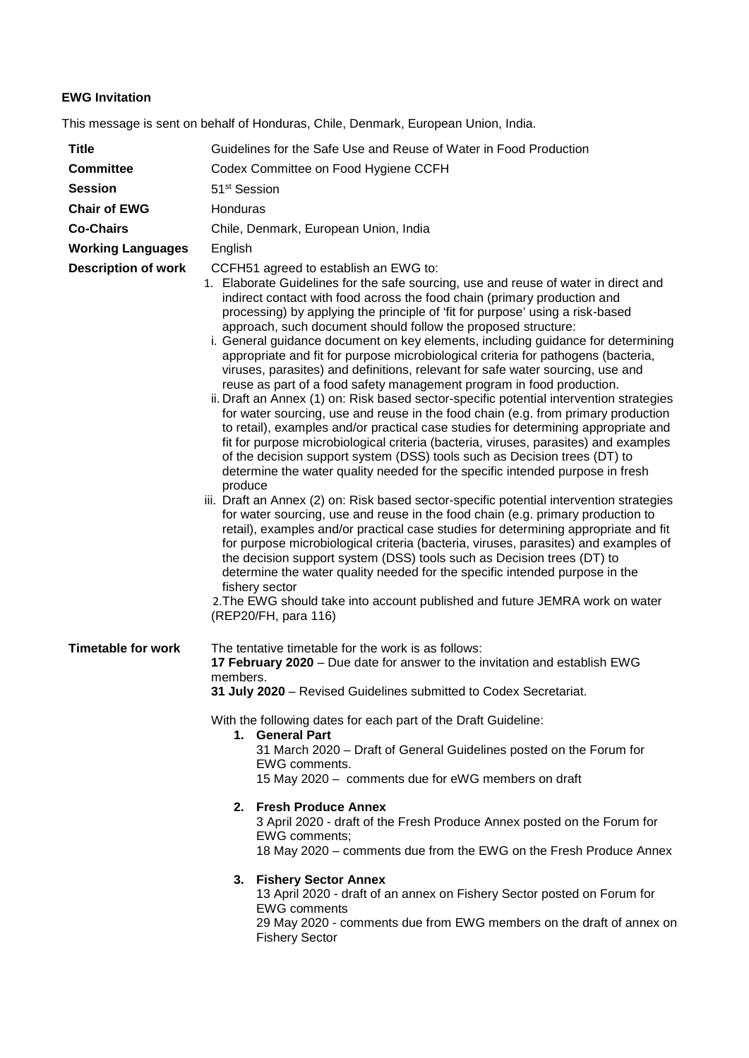## **EWG Invitation**

This message is sent on behalf of Honduras, Chile, Denmark, European Union, India.

| <b>Title</b>               | Guidelines for the Safe Use and Reuse of Water in Food Production                                                                                                                                                                                                                                                                                                                                                                                                                                                                                                                                                                                                                                                                                                                                                                                                                                                                                                                                                                                                                                                                                                                                                                                                                                                                                                                                                                                                                                                                                                                                                                                                                                                                                                                                                                                                                     |  |
|----------------------------|---------------------------------------------------------------------------------------------------------------------------------------------------------------------------------------------------------------------------------------------------------------------------------------------------------------------------------------------------------------------------------------------------------------------------------------------------------------------------------------------------------------------------------------------------------------------------------------------------------------------------------------------------------------------------------------------------------------------------------------------------------------------------------------------------------------------------------------------------------------------------------------------------------------------------------------------------------------------------------------------------------------------------------------------------------------------------------------------------------------------------------------------------------------------------------------------------------------------------------------------------------------------------------------------------------------------------------------------------------------------------------------------------------------------------------------------------------------------------------------------------------------------------------------------------------------------------------------------------------------------------------------------------------------------------------------------------------------------------------------------------------------------------------------------------------------------------------------------------------------------------------------|--|
| <b>Committee</b>           | Codex Committee on Food Hygiene CCFH                                                                                                                                                                                                                                                                                                                                                                                                                                                                                                                                                                                                                                                                                                                                                                                                                                                                                                                                                                                                                                                                                                                                                                                                                                                                                                                                                                                                                                                                                                                                                                                                                                                                                                                                                                                                                                                  |  |
| <b>Session</b>             | 51 <sup>st</sup> Session                                                                                                                                                                                                                                                                                                                                                                                                                                                                                                                                                                                                                                                                                                                                                                                                                                                                                                                                                                                                                                                                                                                                                                                                                                                                                                                                                                                                                                                                                                                                                                                                                                                                                                                                                                                                                                                              |  |
| <b>Chair of EWG</b>        | Honduras                                                                                                                                                                                                                                                                                                                                                                                                                                                                                                                                                                                                                                                                                                                                                                                                                                                                                                                                                                                                                                                                                                                                                                                                                                                                                                                                                                                                                                                                                                                                                                                                                                                                                                                                                                                                                                                                              |  |
| <b>Co-Chairs</b>           | Chile, Denmark, European Union, India                                                                                                                                                                                                                                                                                                                                                                                                                                                                                                                                                                                                                                                                                                                                                                                                                                                                                                                                                                                                                                                                                                                                                                                                                                                                                                                                                                                                                                                                                                                                                                                                                                                                                                                                                                                                                                                 |  |
| <b>Working Languages</b>   | English                                                                                                                                                                                                                                                                                                                                                                                                                                                                                                                                                                                                                                                                                                                                                                                                                                                                                                                                                                                                                                                                                                                                                                                                                                                                                                                                                                                                                                                                                                                                                                                                                                                                                                                                                                                                                                                                               |  |
| <b>Description of work</b> | CCFH51 agreed to establish an EWG to:<br>1. Elaborate Guidelines for the safe sourcing, use and reuse of water in direct and<br>indirect contact with food across the food chain (primary production and<br>processing) by applying the principle of 'fit for purpose' using a risk-based<br>approach, such document should follow the proposed structure:<br>i. General guidance document on key elements, including guidance for determining<br>appropriate and fit for purpose microbiological criteria for pathogens (bacteria,<br>viruses, parasites) and definitions, relevant for safe water sourcing, use and<br>reuse as part of a food safety management program in food production.<br>ii. Draft an Annex (1) on: Risk based sector-specific potential intervention strategies<br>for water sourcing, use and reuse in the food chain (e.g. from primary production<br>to retail), examples and/or practical case studies for determining appropriate and<br>fit for purpose microbiological criteria (bacteria, viruses, parasites) and examples<br>of the decision support system (DSS) tools such as Decision trees (DT) to<br>determine the water quality needed for the specific intended purpose in fresh<br>produce<br>iii. Draft an Annex (2) on: Risk based sector-specific potential intervention strategies<br>for water sourcing, use and reuse in the food chain (e.g. primary production to<br>retail), examples and/or practical case studies for determining appropriate and fit<br>for purpose microbiological criteria (bacteria, viruses, parasites) and examples of<br>the decision support system (DSS) tools such as Decision trees (DT) to<br>determine the water quality needed for the specific intended purpose in the<br>fishery sector<br>2. The EWG should take into account published and future JEMRA work on water<br>(REP20/FH, para 116) |  |
| <b>Timetable for work</b>  | The tentative timetable for the work is as follows:<br>17 February 2020 - Due date for answer to the invitation and establish EWG<br>members.<br>31 July 2020 - Revised Guidelines submitted to Codex Secretariat.<br>With the following dates for each part of the Draft Guideline:<br>1. General Part<br>31 March 2020 - Draft of General Guidelines posted on the Forum for<br>EWG comments.<br>15 May 2020 - comments due for eWG members on draft<br>2. Fresh Produce Annex<br>3 April 2020 - draft of the Fresh Produce Annex posted on the Forum for<br>EWG comments;<br>18 May 2020 – comments due from the EWG on the Fresh Produce Annex<br>3. Fishery Sector Annex<br>13 April 2020 - draft of an annex on Fishery Sector posted on Forum for<br><b>EWG comments</b><br>29 May 2020 - comments due from EWG members on the draft of annex on                                                                                                                                                                                                                                                                                                                                                                                                                                                                                                                                                                                                                                                                                                                                                                                                                                                                                                                                                                                                                               |  |
|                            | <b>Fishery Sector</b>                                                                                                                                                                                                                                                                                                                                                                                                                                                                                                                                                                                                                                                                                                                                                                                                                                                                                                                                                                                                                                                                                                                                                                                                                                                                                                                                                                                                                                                                                                                                                                                                                                                                                                                                                                                                                                                                 |  |